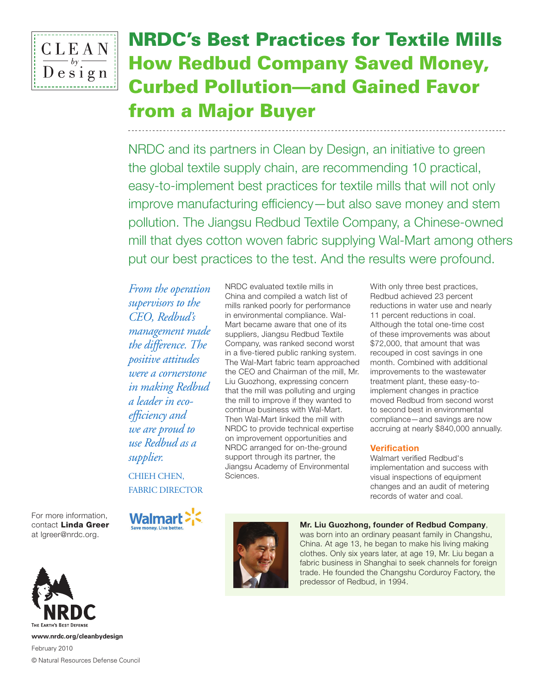

# NRDC's Best Practices for Textile Mills How Redbud Company Saved Money, Curbed Pollution—and Gained Favor from a Major Buyer

NRDC and its partners in Clean by Design, an initiative to green the global textile supply chain, are recommending 10 practical, easy-to-implement best practices for textile mills that will not only improve manufacturing efficiency—but also save money and stem pollution. The Jiangsu Redbud Textile Company, a Chinese-owned mill that dyes cotton woven fabric supplying Wal-Mart among others put our best practices to the test. And the results were profound.

*From the operation supervisors to the CEO, Redbud's management made the difference. The positive attitudes were a cornerstone in making Redbud a leader in ecoefficiency and we are proud to use Redbud as a supplier.* Chieh Chen, Fabric Director

NRDC evaluated textile mills in China and compiled a watch list of mills ranked poorly for performance in environmental compliance. Wal-Mart became aware that one of its suppliers, Jiangsu Redbud Textile Company, was ranked second worst in a five-tiered public ranking system. The Wal-Mart fabric team approached the CEO and Chairman of the mill, Mr. Liu Guozhong, expressing concern that the mill was polluting and urging the mill to improve if they wanted to continue business with Wal-Mart. Then Wal-Mart linked the mill with NRDC to provide technical expertise on improvement opportunities and NRDC arranged for on-the-ground support through its partner, the Jiangsu Academy of Environmental Sciences.

With only three best practices, Redbud achieved 23 percent reductions in water use and nearly 11 percent reductions in coal. Although the total one-time cost of these improvements was about \$72,000, that amount that was recouped in cost savings in one month. Combined with additional improvements to the wastewater treatment plant, these easy-toimplement changes in practice moved Redbud from second worst to second best in environmental compliance—and savings are now accruing at nearly \$840,000 annually.

#### **Verification**

Walmart verified Redbud's implementation and success with visual inspections of equipment changes and an audit of metering records of water and coal.

For more information, contact Linda Greer at lgreer@nrdc.org.





Mr. Liu Guozhong, founder of Redbud Company, was born into an ordinary peasant family in Changshu, China. At age 13, he began to make his living making clothes. Only six years later, at age 19, Mr. Liu began a fabric business in Shanghai to seek channels for foreign trade. He founded the Changshu Corduroy Factory, the predessor of Redbud, in 1994.

**www.nrdc.org/cleanbydesign** February 2010 © Natural Resources Defense Council